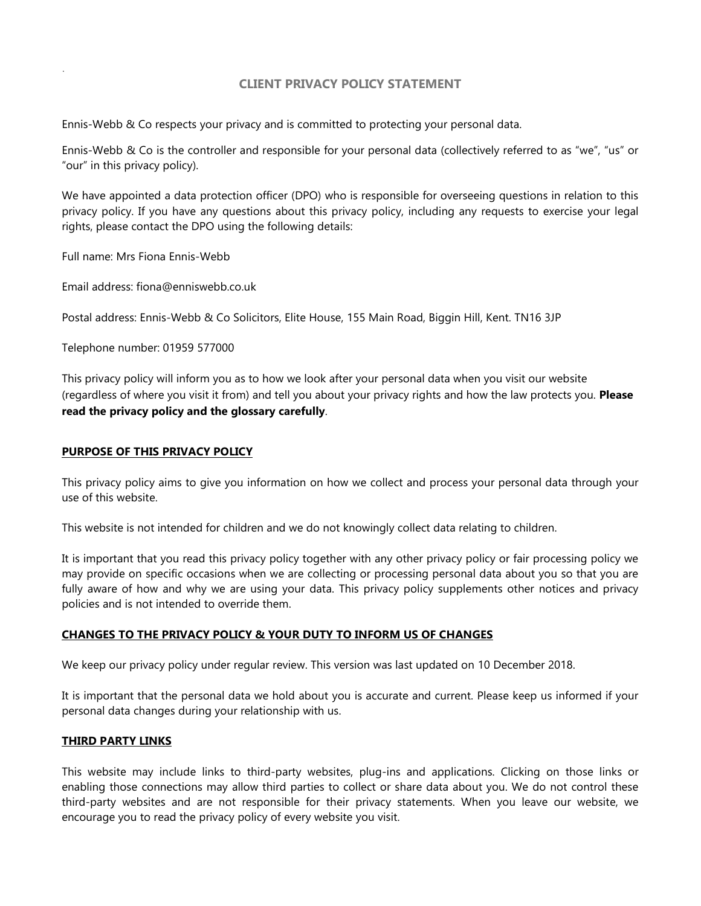# **CLIENT PRIVACY POLICY STATEMENT**

Ennis-Webb & Co respects your privacy and is committed to protecting your personal data.

Ennis-Webb & Co is the controller and responsible for your personal data (collectively referred to as "we", "us" or "our" in this privacy policy).

We have appointed a data protection officer (DPO) who is responsible for overseeing questions in relation to this privacy policy. If you have any questions about this privacy policy, including any requests to exercise your legal rights, please contact the DPO using the following details:

Full name: Mrs Fiona Ennis-Webb

.

Email address: fiona@enniswebb.co.uk

Postal address: Ennis-Webb & Co Solicitors, Elite House, 155 Main Road, Biggin Hill, Kent. TN16 3JP

Telephone number: 01959 577000

This privacy policy will inform you as to how we look after your personal data when you visit our website (regardless of where you visit it from) and tell you about your privacy rights and how the law protects you. **Please read the privacy policy and the glossary carefully**.

### **PURPOSE OF THIS PRIVACY POLICY**

This privacy policy aims to give you information on how we collect and process your personal data through your use of this website.

This website is not intended for children and we do not knowingly collect data relating to children.

It is important that you read this privacy policy together with any other privacy policy or fair processing policy we may provide on specific occasions when we are collecting or processing personal data about you so that you are fully aware of how and why we are using your data. This privacy policy supplements other notices and privacy policies and is not intended to override them.

### **CHANGES TO THE PRIVACY POLICY & YOUR DUTY TO INFORM US OF CHANGES**

We keep our privacy policy under regular review. This version was last updated on 10 December 2018.

It is important that the personal data we hold about you is accurate and current. Please keep us informed if your personal data changes during your relationship with us.

### **THIRD PARTY LINKS**

This website may include links to third-party websites, plug-ins and applications. Clicking on those links or enabling those connections may allow third parties to collect or share data about you. We do not control these third-party websites and are not responsible for their privacy statements. When you leave our website, we encourage you to read the privacy policy of every website you visit.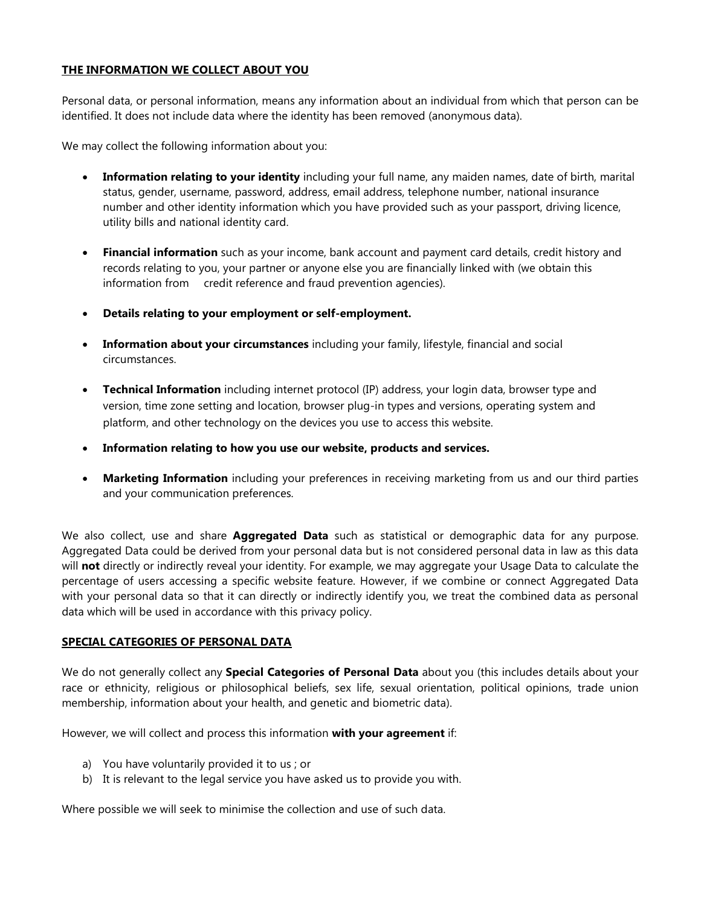# **THE INFORMATION WE COLLECT ABOUT YOU**

Personal data, or personal information, means any information about an individual from which that person can be identified. It does not include data where the identity has been removed (anonymous data).

We may collect the following information about you:

- **Information relating to your identity** including your full name, any maiden names, date of birth, marital status, gender, username, password, address, email address, telephone number, national insurance number and other identity information which you have provided such as your passport, driving licence, utility bills and national identity card.
- **Financial information** such as your income, bank account and payment card details, credit history and records relating to you, your partner or anyone else you are financially linked with (we obtain this information from credit reference and fraud prevention agencies).
- **Details relating to your employment or self-employment.**
- **Information about your circumstances** including your family, lifestyle, financial and social circumstances.
- **Technical Information** including internet protocol (IP) address, your login data, browser type and version, time zone setting and location, browser plug-in types and versions, operating system and platform, and other technology on the devices you use to access this website.
- **Information relating to how you use our website, products and services.**
- **Marketing Information** including your preferences in receiving marketing from us and our third parties and your communication preferences.

We also collect, use and share **Aggregated Data** such as statistical or demographic data for any purpose. Aggregated Data could be derived from your personal data but is not considered personal data in law as this data will **not** directly or indirectly reveal your identity. For example, we may aggregate your Usage Data to calculate the percentage of users accessing a specific website feature. However, if we combine or connect Aggregated Data with your personal data so that it can directly or indirectly identify you, we treat the combined data as personal data which will be used in accordance with this privacy policy.

# **SPECIAL CATEGORIES OF PERSONAL DATA**

We do not generally collect any **Special Categories of Personal Data** about you (this includes details about your race or ethnicity, religious or philosophical beliefs, sex life, sexual orientation, political opinions, trade union membership, information about your health, and genetic and biometric data).

However, we will collect and process this information **with your agreement** if:

- a) You have voluntarily provided it to us ; or
- b) It is relevant to the legal service you have asked us to provide you with.

Where possible we will seek to minimise the collection and use of such data.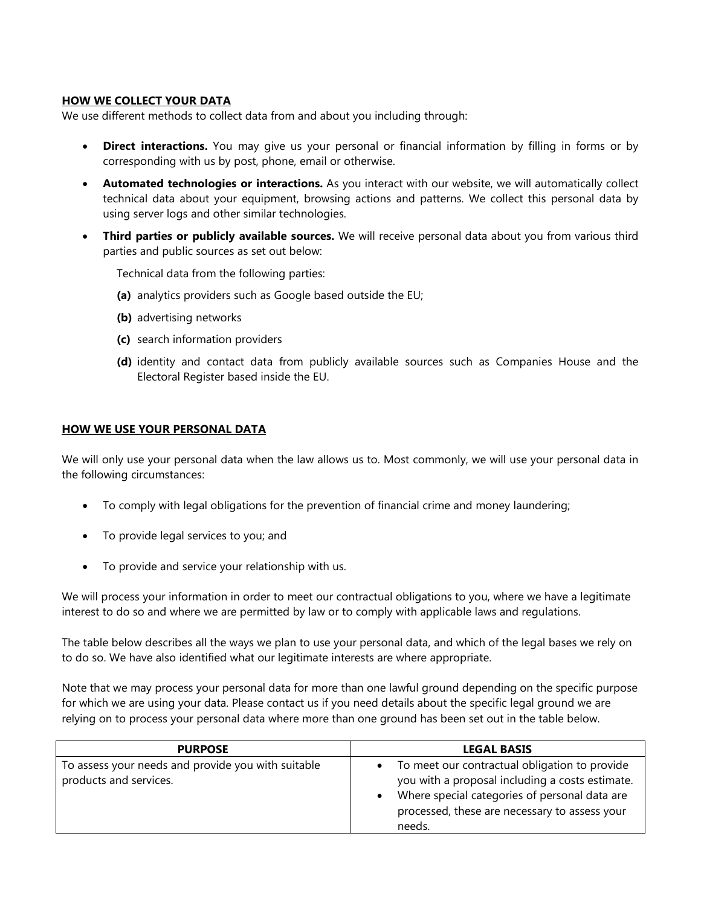# **HOW WE COLLECT YOUR DATA**

We use different methods to collect data from and about you including through:

- **Direct interactions.** You may give us your personal or financial information by filling in forms or by corresponding with us by post, phone, email or otherwise.
- **Automated technologies or interactions.** As you interact with our website, we will automatically collect technical data about your equipment, browsing actions and patterns. We collect this personal data by using server logs and other similar technologies.
- **Third parties or publicly available sources.** We will receive personal data about you from various third parties and public sources as set out below:

Technical data from the following parties:

- **(a)** analytics providers such as Google based outside the EU;
- **(b)** advertising networks
- **(c)** search information providers
- **(d)** identity and contact data from publicly available sources such as Companies House and the Electoral Register based inside the EU.

### **HOW WE USE YOUR PERSONAL DATA**

We will only use your personal data when the law allows us to. Most commonly, we will use your personal data in the following circumstances:

- To comply with legal obligations for the prevention of financial crime and money laundering;
- To provide legal services to you; and
- To provide and service your relationship with us.

We will process your information in order to meet our contractual obligations to you, where we have a legitimate interest to do so and where we are permitted by law or to comply with applicable laws and regulations.

The table below describes all the ways we plan to use your personal data, and which of the legal bases we rely on to do so. We have also identified what our legitimate interests are where appropriate.

Note that we may process your personal data for more than one lawful ground depending on the specific purpose for which we are using your data. Please contact us if you need details about the specific legal ground we are relying on to process your personal data where more than one ground has been set out in the table below.

| <b>PURPOSE</b>                                                               | <b>LEGAL BASIS</b>                                                                                                                                                                                           |
|------------------------------------------------------------------------------|--------------------------------------------------------------------------------------------------------------------------------------------------------------------------------------------------------------|
| To assess your needs and provide you with suitable<br>products and services. | To meet our contractual obligation to provide<br>you with a proposal including a costs estimate.<br>Where special categories of personal data are<br>processed, these are necessary to assess your<br>needs. |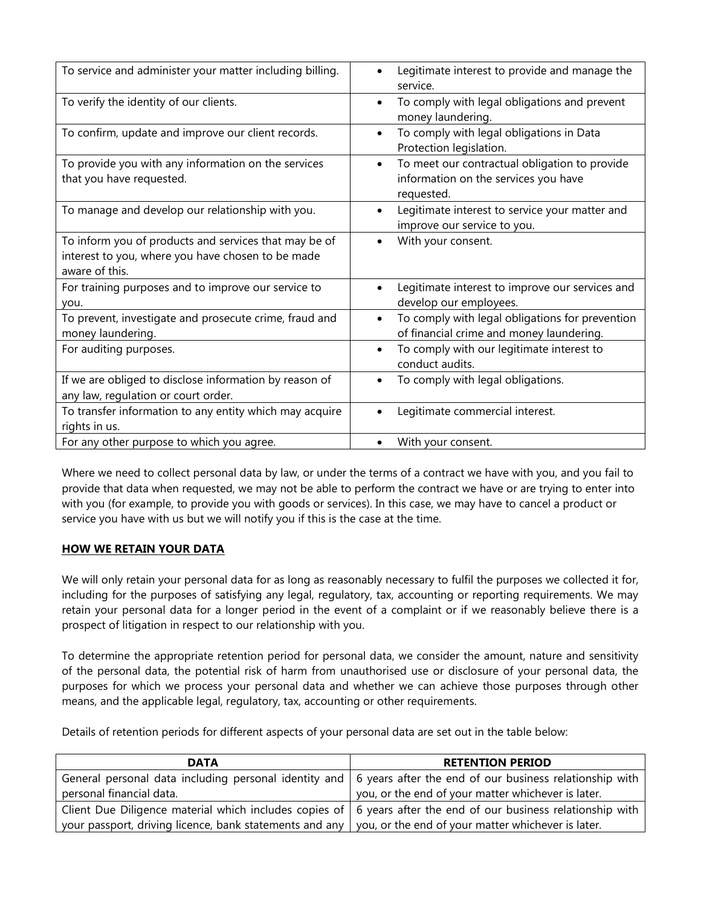| To service and administer your matter including billing.                                                                     | Legitimate interest to provide and manage the<br>service.                                                        |
|------------------------------------------------------------------------------------------------------------------------------|------------------------------------------------------------------------------------------------------------------|
| To verify the identity of our clients.                                                                                       | To comply with legal obligations and prevent<br>$\bullet$<br>money laundering.                                   |
| To confirm, update and improve our client records.                                                                           | To comply with legal obligations in Data<br>$\bullet$<br>Protection legislation.                                 |
| To provide you with any information on the services<br>that you have requested.                                              | To meet our contractual obligation to provide<br>$\bullet$<br>information on the services you have<br>requested. |
| To manage and develop our relationship with you.                                                                             | Legitimate interest to service your matter and<br>improve our service to you.                                    |
| To inform you of products and services that may be of<br>interest to you, where you have chosen to be made<br>aware of this. | With your consent.                                                                                               |
| For training purposes and to improve our service to<br>you.                                                                  | Legitimate interest to improve our services and<br>$\bullet$<br>develop our employees.                           |
| To prevent, investigate and prosecute crime, fraud and<br>money laundering.                                                  | To comply with legal obligations for prevention<br>$\bullet$<br>of financial crime and money laundering.         |
| For auditing purposes.                                                                                                       | To comply with our legitimate interest to<br>$\bullet$<br>conduct audits.                                        |
| If we are obliged to disclose information by reason of<br>any law, regulation or court order.                                | To comply with legal obligations.                                                                                |
| To transfer information to any entity which may acquire<br>rights in us.                                                     | Legitimate commercial interest.                                                                                  |
| For any other purpose to which you agree.                                                                                    | With your consent.                                                                                               |

Where we need to collect personal data by law, or under the terms of a contract we have with you, and you fail to provide that data when requested, we may not be able to perform the contract we have or are trying to enter into with you (for example, to provide you with goods or services). In this case, we may have to cancel a product or service you have with us but we will notify you if this is the case at the time.

# **HOW WE RETAIN YOUR DATA**

We will only retain your personal data for as long as reasonably necessary to fulfil the purposes we collected it for, including for the purposes of satisfying any legal, regulatory, tax, accounting or reporting requirements. We may retain your personal data for a longer period in the event of a complaint or if we reasonably believe there is a prospect of litigation in respect to our relationship with you.

To determine the appropriate retention period for personal data, we consider the amount, nature and sensitivity of the personal data, the potential risk of harm from unauthorised use or disclosure of your personal data, the purposes for which we process your personal data and whether we can achieve those purposes through other means, and the applicable legal, regulatory, tax, accounting or other requirements.

Details of retention periods for different aspects of your personal data are set out in the table below:

| <b>DATA</b>                                                                                                                | <b>RETENTION PERIOD</b>                                                                                         |
|----------------------------------------------------------------------------------------------------------------------------|-----------------------------------------------------------------------------------------------------------------|
|                                                                                                                            | General personal data including personal identity and   6 years after the end of our business relationship with |
| personal financial data.                                                                                                   | you, or the end of your matter whichever is later.                                                              |
| Client Due Diligence material which includes copies of   6 years after the end of our business relationship with           |                                                                                                                 |
| $\vert$ your passport, driving licence, bank statements and any $\vert$ you, or the end of your matter whichever is later. |                                                                                                                 |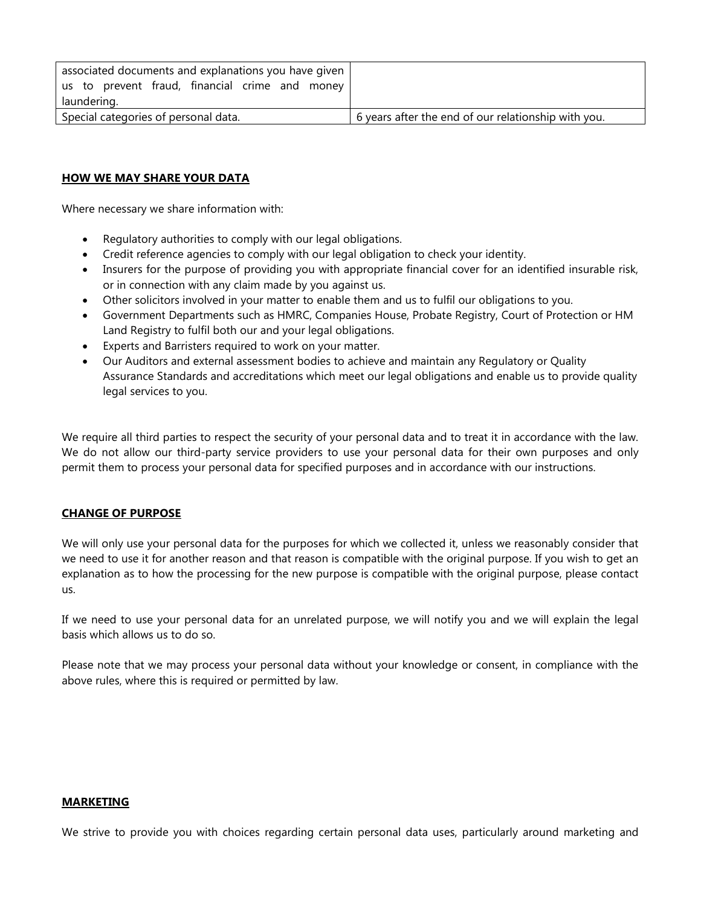| associated documents and explanations you have given |                                                     |
|------------------------------------------------------|-----------------------------------------------------|
| us to prevent fraud, financial crime and money       |                                                     |
| laundering.                                          |                                                     |
| Special categories of personal data.                 | 6 years after the end of our relationship with you. |

### **HOW WE MAY SHARE YOUR DATA**

Where necessary we share information with:

- Regulatory authorities to comply with our legal obligations.
- Credit reference agencies to comply with our legal obligation to check your identity.
- Insurers for the purpose of providing you with appropriate financial cover for an identified insurable risk, or in connection with any claim made by you against us.
- Other solicitors involved in your matter to enable them and us to fulfil our obligations to you.
- Government Departments such as HMRC, Companies House, Probate Registry, Court of Protection or HM Land Registry to fulfil both our and your legal obligations.
- Experts and Barristers required to work on your matter.
- Our Auditors and external assessment bodies to achieve and maintain any Regulatory or Quality Assurance Standards and accreditations which meet our legal obligations and enable us to provide quality legal services to you.

We require all third parties to respect the security of your personal data and to treat it in accordance with the law. We do not allow our third-party service providers to use your personal data for their own purposes and only permit them to process your personal data for specified purposes and in accordance with our instructions.

# **CHANGE OF PURPOSE**

We will only use your personal data for the purposes for which we collected it, unless we reasonably consider that we need to use it for another reason and that reason is compatible with the original purpose. If you wish to get an explanation as to how the processing for the new purpose is compatible with the original purpose, please contact us.

If we need to use your personal data for an unrelated purpose, we will notify you and we will explain the legal basis which allows us to do so.

Please note that we may process your personal data without your knowledge or consent, in compliance with the above rules, where this is required or permitted by law.

### **MARKETING**

We strive to provide you with choices regarding certain personal data uses, particularly around marketing and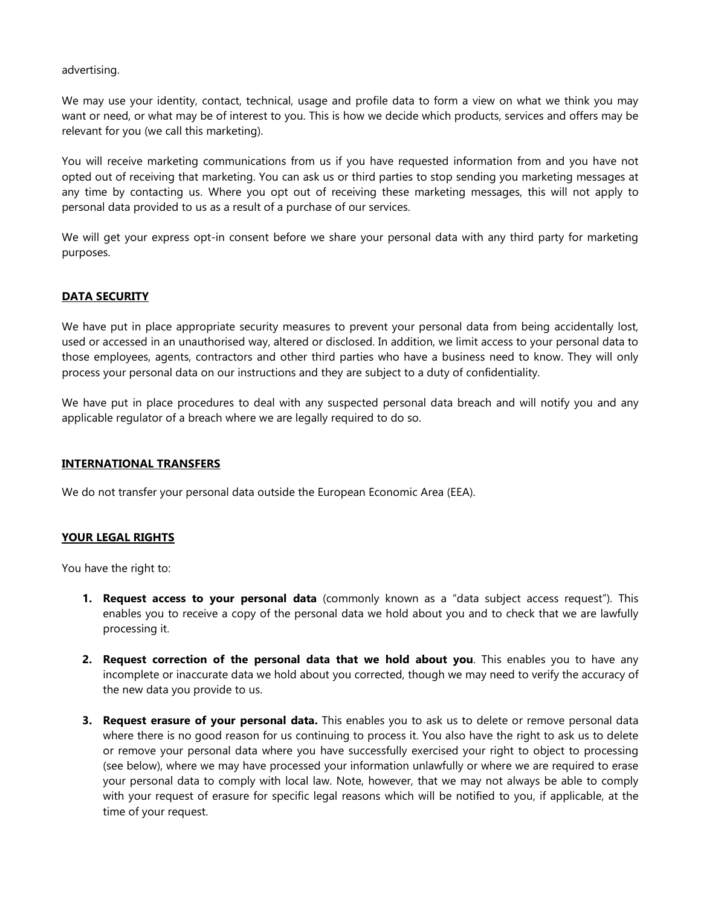advertising.

We may use your identity, contact, technical, usage and profile data to form a view on what we think you may want or need, or what may be of interest to you. This is how we decide which products, services and offers may be relevant for you (we call this marketing).

You will receive marketing communications from us if you have requested information from and you have not opted out of receiving that marketing. You can ask us or third parties to stop sending you marketing messages at any time by contacting us. Where you opt out of receiving these marketing messages, this will not apply to personal data provided to us as a result of a purchase of our services.

We will get your express opt-in consent before we share your personal data with any third party for marketing purposes.

# **DATA SECURITY**

We have put in place appropriate security measures to prevent your personal data from being accidentally lost, used or accessed in an unauthorised way, altered or disclosed. In addition, we limit access to your personal data to those employees, agents, contractors and other third parties who have a business need to know. They will only process your personal data on our instructions and they are subject to a duty of confidentiality.

We have put in place procedures to deal with any suspected personal data breach and will notify you and any applicable regulator of a breach where we are legally required to do so.

### **INTERNATIONAL TRANSFERS**

We do not transfer your personal data outside the European Economic Area (EEA).

### **YOUR LEGAL RIGHTS**

You have the right to:

- **1. Request access to your personal data** (commonly known as a "data subject access request"). This enables you to receive a copy of the personal data we hold about you and to check that we are lawfully processing it.
- **2. Request correction of the personal data that we hold about you**. This enables you to have any incomplete or inaccurate data we hold about you corrected, though we may need to verify the accuracy of the new data you provide to us.
- **3. Request erasure of your personal data.** This enables you to ask us to delete or remove personal data where there is no good reason for us continuing to process it. You also have the right to ask us to delete or remove your personal data where you have successfully exercised your right to object to processing (see below), where we may have processed your information unlawfully or where we are required to erase your personal data to comply with local law. Note, however, that we may not always be able to comply with your request of erasure for specific legal reasons which will be notified to you, if applicable, at the time of your request.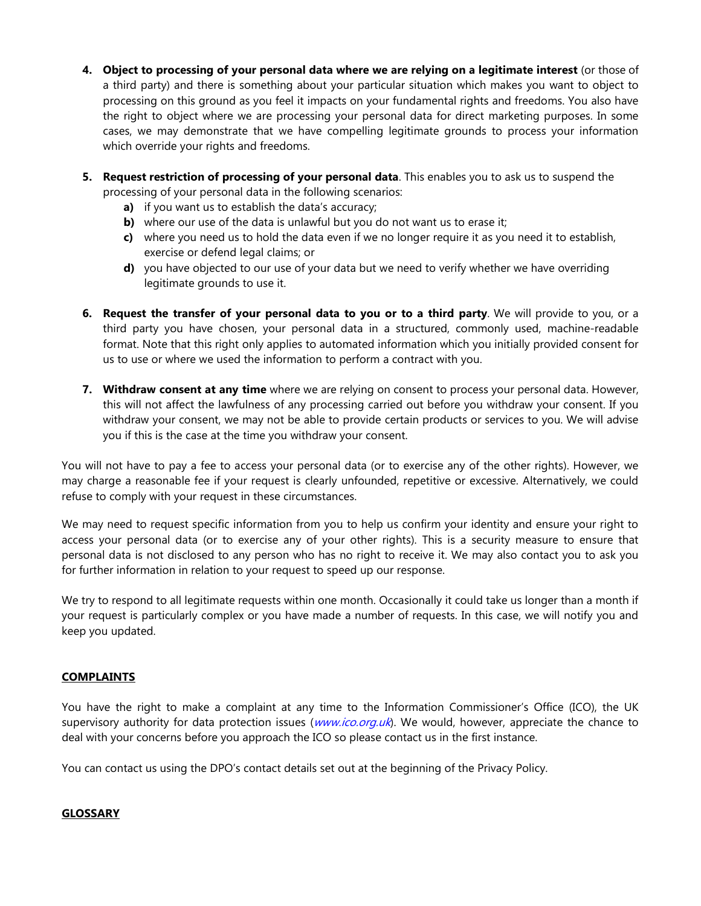- **4. Object to processing of your personal data where we are relying on a legitimate interest** (or those of a third party) and there is something about your particular situation which makes you want to object to processing on this ground as you feel it impacts on your fundamental rights and freedoms. You also have the right to object where we are processing your personal data for direct marketing purposes. In some cases, we may demonstrate that we have compelling legitimate grounds to process your information which override your rights and freedoms.
- **5. Request restriction of processing of your personal data**. This enables you to ask us to suspend the processing of your personal data in the following scenarios:
	- **a)** if you want us to establish the data's accuracy;
	- **b)** where our use of the data is unlawful but you do not want us to erase it;
	- **c)** where you need us to hold the data even if we no longer require it as you need it to establish, exercise or defend legal claims; or
	- **d)** you have objected to our use of your data but we need to verify whether we have overriding legitimate grounds to use it.
- **6. Request the transfer of your personal data to you or to a third party**. We will provide to you, or a third party you have chosen, your personal data in a structured, commonly used, machine-readable format. Note that this right only applies to automated information which you initially provided consent for us to use or where we used the information to perform a contract with you.
- **7. Withdraw consent at any time** where we are relying on consent to process your personal data. However, this will not affect the lawfulness of any processing carried out before you withdraw your consent. If you withdraw your consent, we may not be able to provide certain products or services to you. We will advise you if this is the case at the time you withdraw your consent.

You will not have to pay a fee to access your personal data (or to exercise any of the other rights). However, we may charge a reasonable fee if your request is clearly unfounded, repetitive or excessive. Alternatively, we could refuse to comply with your request in these circumstances.

We may need to request specific information from you to help us confirm your identity and ensure your right to access your personal data (or to exercise any of your other rights). This is a security measure to ensure that personal data is not disclosed to any person who has no right to receive it. We may also contact you to ask you for further information in relation to your request to speed up our response.

We try to respond to all legitimate requests within one month. Occasionally it could take us longer than a month if your request is particularly complex or you have made a number of requests. In this case, we will notify you and keep you updated.

# **COMPLAINTS**

You have the right to make a complaint at any time to the Information Commissioner's Office (ICO), the UK supervisory authority for data protection issues ([www.ico.org.uk](http://www.ico.org.uk/)). We would, however, appreciate the chance to deal with your concerns before you approach the ICO so please contact us in the first instance.

You can contact us using the DPO's contact details set out at the beginning of the Privacy Policy.

# **GLOSSARY**